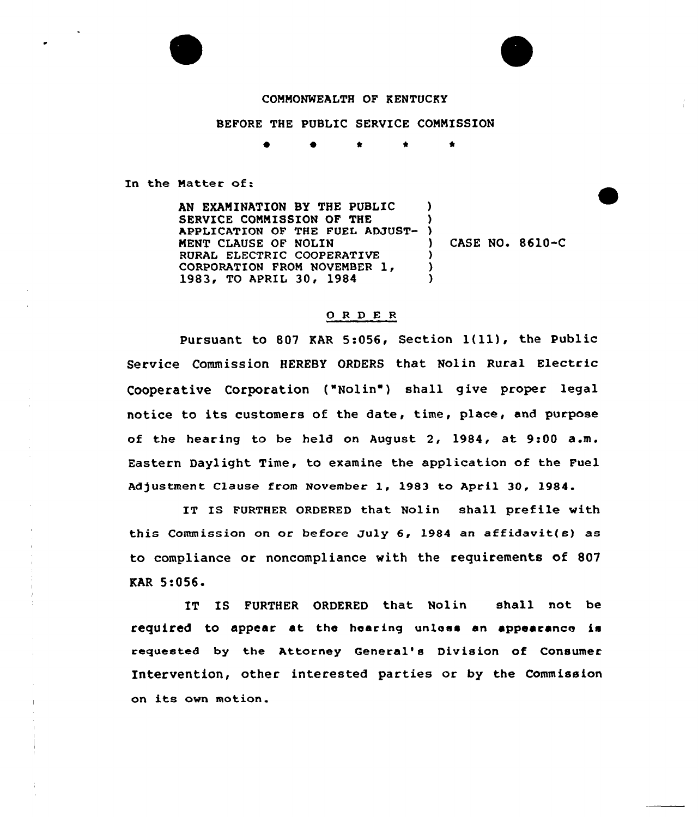## COMMONWEALTH OF KENTUCKY

## BEFORE THE PUBLIC SERVICE COMMISSION

 $\star$   $\star$ 

In the Matter of:

AN EXAMINATION BY THE PUBLIC SERVICE COMMISSION OF THE APPLICATION OF THE FUEL ADJUST-MENT CLAUSE OF NOLIN RURAL ELECTRIC COOPERATIVE CORPORATION FROM NOVEMBER 1, 1983, TO APRIL 30, 1984 ) )  $\left\{ \right\}$ ) CASE NO. 8610-C ) ) )

## 0 R <sup>D</sup> E <sup>R</sup>

Pursuant to <sup>807</sup> KAR 5:056, Section 1(ll), the Public Service Commission HEREBY ORDERS that Nolin Rural Electric Cooperative Corporation ("Nolin") shall give proper legal notice to its customers of the date, time, place, and purpose of the hearing to be held on August 2, 1984, at 9:00 a.m. Eastern Daylight Time, to examine the application of the Fuel Adjustment Clause from November 1, 1983 to April 30, 1984.

IT IS FURTHER ORDERED that Nolin shall prefile with this Commission on oc before July 6, 1984 an affidavit(s) as to compliance or noncompliance with the requirements of 807 KAR 5:056.

IT IS FURTHER ORDERED that Nolin shall not be required to appear at the hearing unless an appearance is requested by the Attorney General's Division of Consumer Intervention, other interested parties or by the Commission on its own motion.